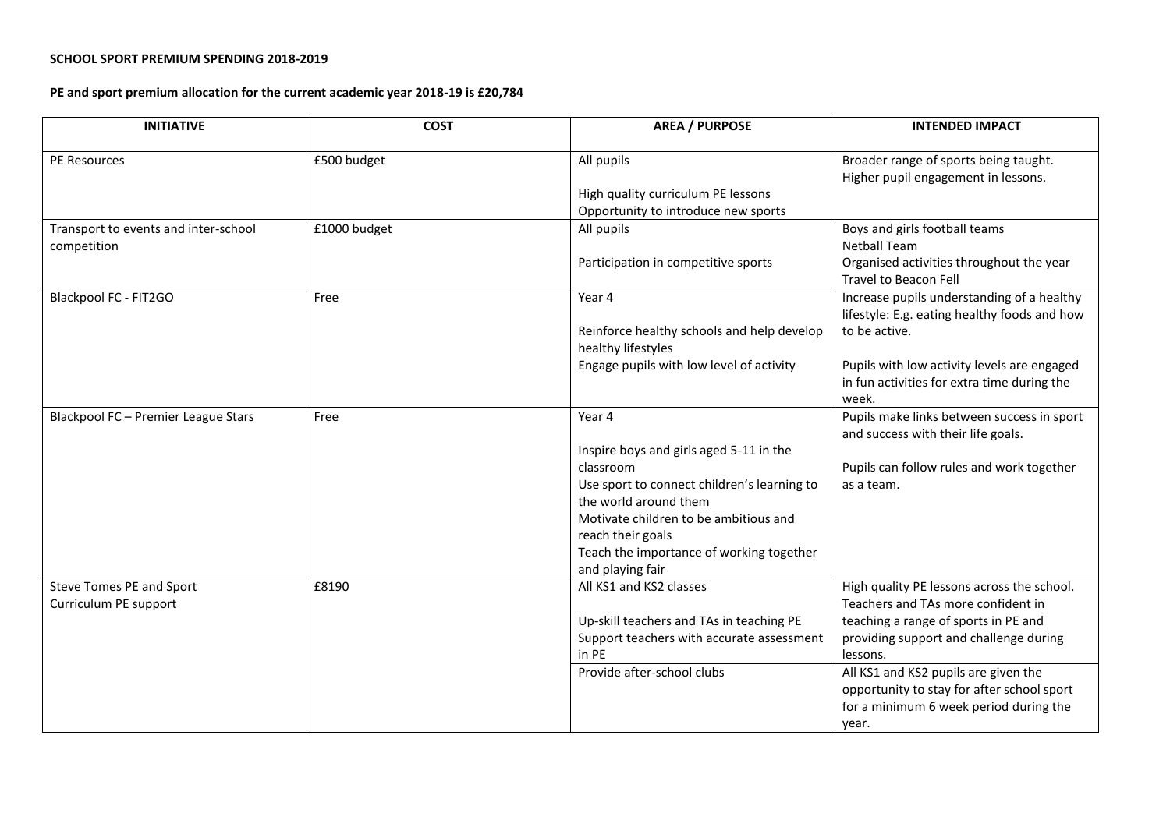## **SCHOOL SPORT PREMIUM SPENDING 2018-2019**

## **PE and sport premium allocation for the current academic year 2018-19 is £20,784**

| <b>INITIATIVE</b>                                   | <b>COST</b>  | <b>AREA / PURPOSE</b>                                                                                                                                                                                                                                                | <b>INTENDED IMPACT</b>                                                                                                                                                                                                                                                                                                  |
|-----------------------------------------------------|--------------|----------------------------------------------------------------------------------------------------------------------------------------------------------------------------------------------------------------------------------------------------------------------|-------------------------------------------------------------------------------------------------------------------------------------------------------------------------------------------------------------------------------------------------------------------------------------------------------------------------|
| <b>PE Resources</b>                                 | £500 budget  | All pupils<br>High quality curriculum PE lessons<br>Opportunity to introduce new sports                                                                                                                                                                              | Broader range of sports being taught.<br>Higher pupil engagement in lessons.                                                                                                                                                                                                                                            |
| Transport to events and inter-school<br>competition | £1000 budget | All pupils<br>Participation in competitive sports                                                                                                                                                                                                                    | Boys and girls football teams<br><b>Netball Team</b><br>Organised activities throughout the year<br>Travel to Beacon Fell                                                                                                                                                                                               |
| Blackpool FC - FIT2GO                               | Free         | Year 4<br>Reinforce healthy schools and help develop<br>healthy lifestyles<br>Engage pupils with low level of activity                                                                                                                                               | Increase pupils understanding of a healthy<br>lifestyle: E.g. eating healthy foods and how<br>to be active.<br>Pupils with low activity levels are engaged<br>in fun activities for extra time during the<br>week.                                                                                                      |
| Blackpool FC - Premier League Stars                 | Free         | Year 4<br>Inspire boys and girls aged 5-11 in the<br>classroom<br>Use sport to connect children's learning to<br>the world around them<br>Motivate children to be ambitious and<br>reach their goals<br>Teach the importance of working together<br>and playing fair | Pupils make links between success in sport<br>and success with their life goals.<br>Pupils can follow rules and work together<br>as a team.                                                                                                                                                                             |
| Steve Tomes PE and Sport<br>Curriculum PE support   | £8190        | All KS1 and KS2 classes<br>Up-skill teachers and TAs in teaching PE<br>Support teachers with accurate assessment<br>in PE<br>Provide after-school clubs                                                                                                              | High quality PE lessons across the school.<br>Teachers and TAs more confident in<br>teaching a range of sports in PE and<br>providing support and challenge during<br>lessons.<br>All KS1 and KS2 pupils are given the<br>opportunity to stay for after school sport<br>for a minimum 6 week period during the<br>year. |